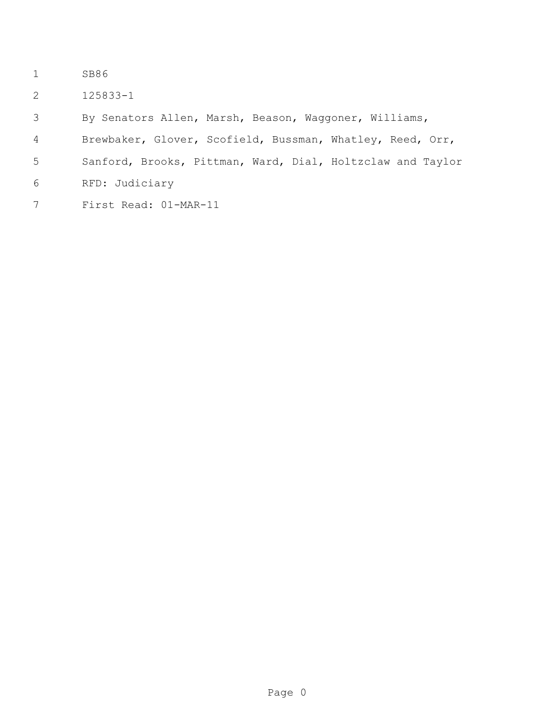- SB86
- 125833-1
- By Senators Allen, Marsh, Beason, Waggoner, Williams,
- Brewbaker, Glover, Scofield, Bussman, Whatley, Reed, Orr,
- Sanford, Brooks, Pittman, Ward, Dial, Holtzclaw and Taylor
- RFD: Judiciary
- First Read: 01-MAR-11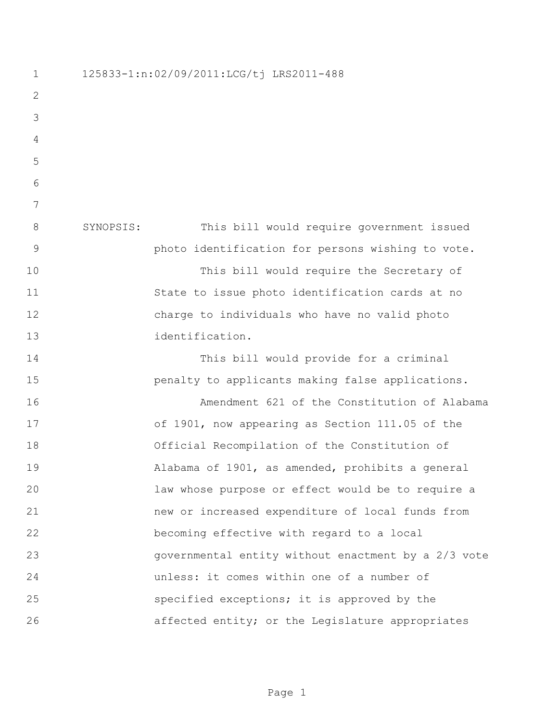125833-1:n:02/09/2011:LCG/tj LRS2011-488 SYNOPSIS: This bill would require government issued photo identification for persons wishing to vote. This bill would require the Secretary of State to issue photo identification cards at no charge to individuals who have no valid photo identification. This bill would provide for a criminal **penalty to applicants making false applications.**  Amendment 621 of the Constitution of Alabama of 1901, now appearing as Section 111.05 of the Official Recompilation of the Constitution of Alabama of 1901, as amended, prohibits a general law whose purpose or effect would be to require a new or increased expenditure of local funds from becoming effective with regard to a local governmental entity without enactment by a 2/3 vote unless: it comes within one of a number of specified exceptions; it is approved by the 26 affected entity; or the Legislature appropriates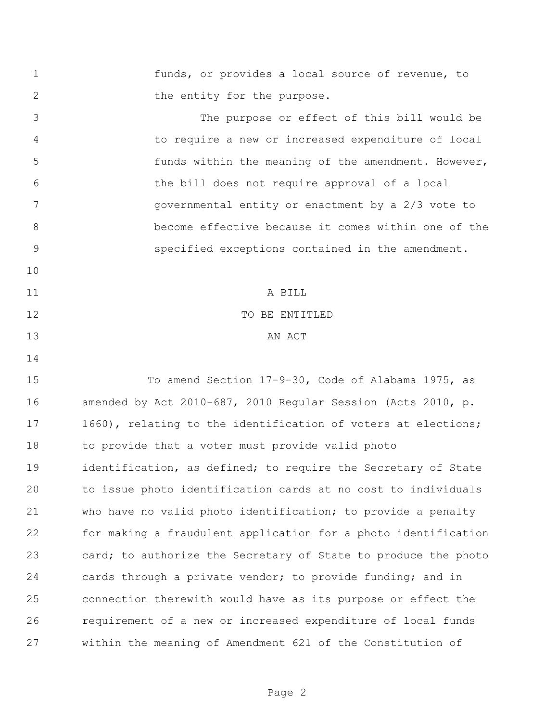funds, or provides a local source of revenue, to 2 the entity for the purpose. The purpose or effect of this bill would be to require a new or increased expenditure of local funds within the meaning of the amendment. However, the bill does not require approval of a local governmental entity or enactment by a 2/3 vote to become effective because it comes within one of the specified exceptions contained in the amendment. A BILL 12 TO BE ENTITLED 13 AN ACT To amend Section 17-9-30, Code of Alabama 1975, as amended by Act 2010-687, 2010 Regular Session (Acts 2010, p. 17 1660), relating to the identification of voters at elections; to provide that a voter must provide valid photo 19 identification, as defined; to require the Secretary of State to issue photo identification cards at no cost to individuals who have no valid photo identification; to provide a penalty for making a fraudulent application for a photo identification 23 card; to authorize the Secretary of State to produce the photo cards through a private vendor; to provide funding; and in connection therewith would have as its purpose or effect the requirement of a new or increased expenditure of local funds within the meaning of Amendment 621 of the Constitution of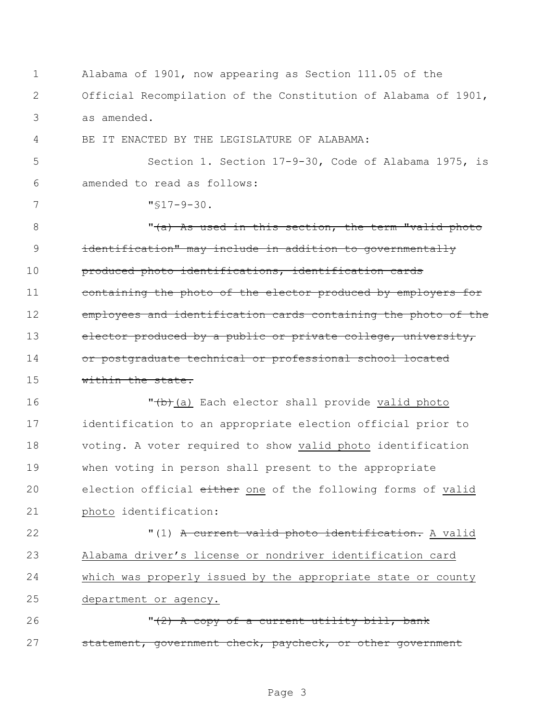Alabama of 1901, now appearing as Section 111.05 of the Official Recompilation of the Constitution of Alabama of 1901, as amended. BE IT ENACTED BY THE LEGISLATURE OF ALABAMA: Section 1. Section 17-9-30, Code of Alabama 1975, is amended to read as follows: "§17-9-30. 8 This is the section, the term "valid photo identification" may include in addition to governmentally produced photo identifications, identification cards 11 containing the photo of the elector produced by employers for **employees and identification cards containing the photo of the** 13 elector produced by a public or private college, university, 14 or postgraduate technical or professional school located 15 within the state. **T**(b)(a) Each elector shall provide valid photo identification to an appropriate election official prior to voting. A voter required to show valid photo identification when voting in person shall present to the appropriate 20 election official either one of the following forms of valid photo identification: **12** "(1) A current valid photo identification. A valid Alabama driver's license or nondriver identification card which was properly issued by the appropriate state or county department or agency.  $\sqrt{(2)}$  A copy of a current utility bill, bank 27 statement, government check, paycheck, or other government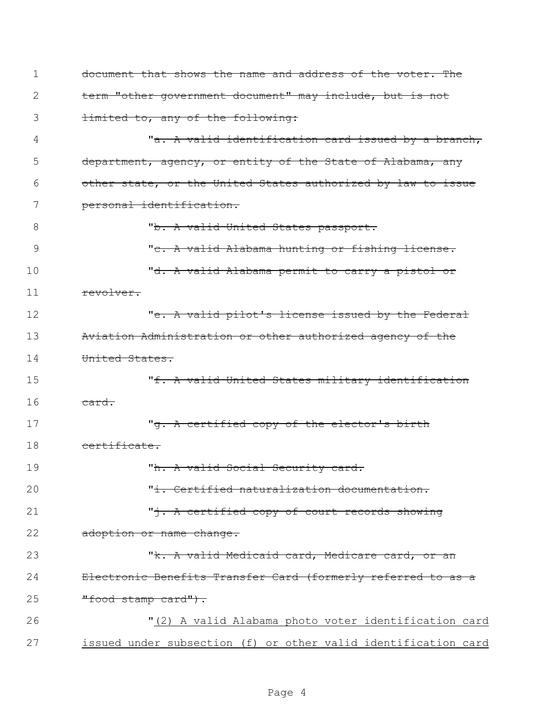| $\mathbf 1$ | document that shows the name and address of the voter. The     |
|-------------|----------------------------------------------------------------|
| 2           | term "other government document" may include, but is not       |
| 3           | dimited to, any of the following:                              |
| 4           | "a. A valid identification card issued by a branch,            |
| 5           | department, agency, or entity of the State of Alabama, any     |
| 6           | other state, or the United States authorized by law to issue   |
| 7           | personal identification.                                       |
| 8           | "b. A valid United States passport.                            |
| 9           | "c. A valid Alabama hunting or fishing license.                |
| 10          | "d. A valid Alabama permit to carry a pistol or                |
| 11          | revolver.                                                      |
| 12          | " <del>e. A valid pilot's license issued by the Federal</del>  |
| 13          | Aviation Administration or other authorized agency of the      |
| 14          | United States.                                                 |
| 15          | "f. A valid United States military identification              |
| 16          | card.                                                          |
| 17          | " <del>g. A certified copy of the elector's birth</del>        |
| 18          | certificate.                                                   |
| 19          | "h. A valid Social Security card.                              |
| 20          | "i. Certified naturalization documentation.                    |
| 21          | " <sup>+</sup> . A certified copy of court records showing     |
| 22          | adoption or name change.                                       |
| 23          | "k. A valid Medicaid card, Medicare card, or an                |
| 24          | Electronic Benefits Transfer Card (formerly referred to as a   |
| 25          | "food stamp card").                                            |
| 26          | "(2) A valid Alabama photo voter identification card           |
| 27          | issued under subsection (f) or other valid identification card |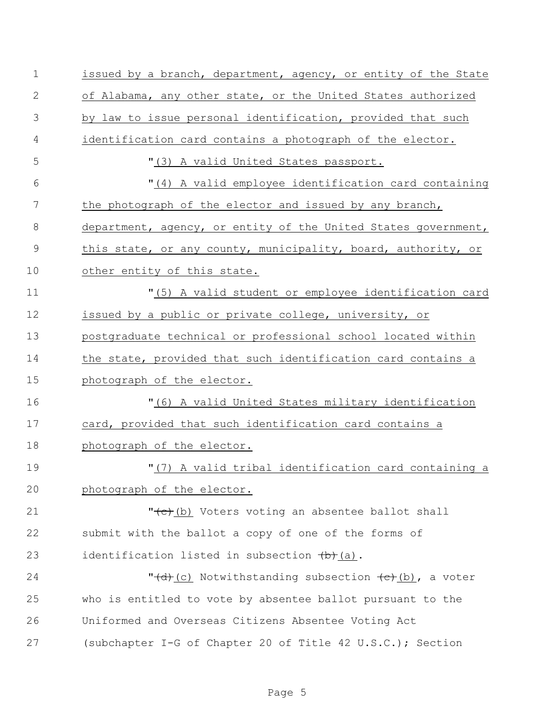| $\mathbf 1$ | issued by a branch, department, agency, or entity of the State |
|-------------|----------------------------------------------------------------|
| 2           | of Alabama, any other state, or the United States authorized   |
| 3           | by law to issue personal identification, provided that such    |
| 4           | identification card contains a photograph of the elector.      |
| 5           | "(3) A valid United States passport.                           |
| 6           | "(4) A valid employee identification card containing           |
| 7           | the photograph of the elector and issued by any branch,        |
| 8           | department, agency, or entity of the United States government, |
| $\mathsf 9$ | this state, or any county, municipality, board, authority, or  |
| 10          | other entity of this state.                                    |
| 11          | "(5) A valid student or employee identification card           |
| 12          | issued by a public or private college, university, or          |
| 13          | postgraduate technical or professional school located within   |
| 14          | the state, provided that such identification card contains a   |
| 15          | photograph of the elector.                                     |
| 16          | "(6) A valid United States military identification             |
| 17          | card, provided that such identification card contains a        |
| 18          | photograph of the elector.                                     |
| 19          | "(7) A valid tribal identification card containing a           |
| 20          | photograph of the elector.                                     |
| 21          | "(c) (b) Voters voting an absentee ballot shall                |
| 22          | submit with the ballot a copy of one of the forms of           |
| 23          | identification listed in subsection $(b)$ (a).                 |
| 24          | "(d)(c) Notwithstanding subsection (c)(b), a voter             |
| 25          | who is entitled to vote by absentee ballot pursuant to the     |
| 26          | Uniformed and Overseas Citizens Absentee Voting Act            |
| 27          | (subchapter I-G of Chapter 20 of Title 42 U.S.C.); Section     |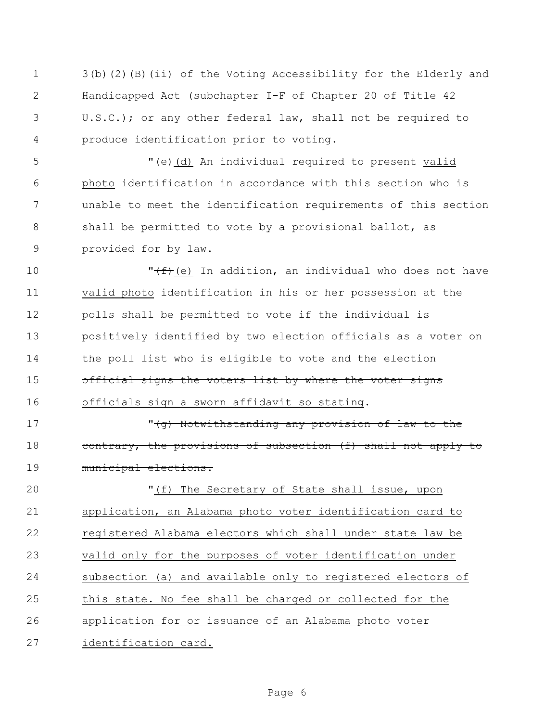3(b)(2)(B)(ii) of the Voting Accessibility for the Elderly and Handicapped Act (subchapter I-F of Chapter 20 of Title 42 U.S.C.); or any other federal law, shall not be required to produce identification prior to voting.

5 The state of the metal required to present valid photo identification in accordance with this section who is unable to meet the identification requirements of this section 8 shall be permitted to vote by a provisional ballot, as provided for by law.

 $\sqrt{f^2 + f^2}$  (e) In addition, an individual who does not have valid photo identification in his or her possession at the polls shall be permitted to vote if the individual is positively identified by two election officials as a voter on the poll list who is eligible to vote and the election 15 official signs the voters list by where the voter signs officials sign a sworn affidavit so stating.

 "(g) Notwithstanding any provision of law to the 18 contrary, the provisions of subsection (f) shall not apply to municipal elections.

 "(f) The Secretary of State shall issue, upon application, an Alabama photo voter identification card to 22 registered Alabama electors which shall under state law be valid only for the purposes of voter identification under subsection (a) and available only to registered electors of this state. No fee shall be charged or collected for the application for or issuance of an Alabama photo voter identification card.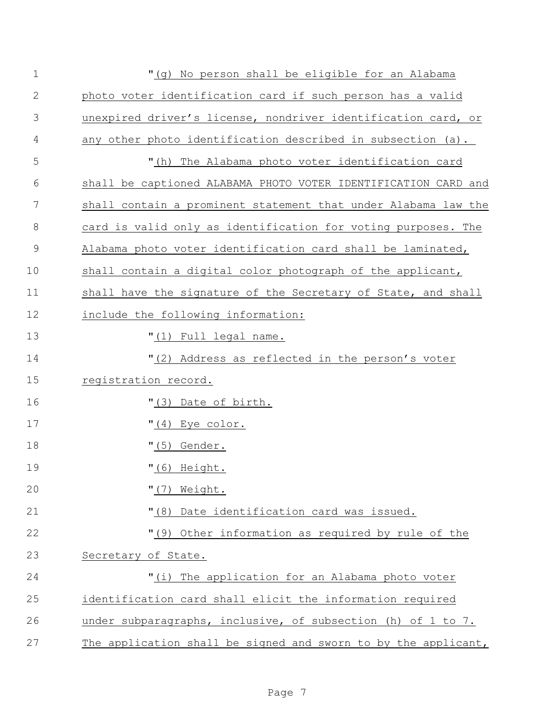| $\mathbf 1$   | "(g) No person shall be eligible for an Alabama                |
|---------------|----------------------------------------------------------------|
| $\mathbf{2}$  | photo voter identification card if such person has a valid     |
| 3             | unexpired driver's license, nondriver identification card, or  |
| 4             | any other photo identification described in subsection (a).    |
| 5             | "(h) The Alabama photo voter identification card               |
| 6             | shall be captioned ALABAMA PHOTO VOTER IDENTIFICATION CARD and |
| 7             | shall contain a prominent statement that under Alabama law the |
| $8\,$         | card is valid only as identification for voting purposes. The  |
| $\mathcal{G}$ | Alabama photo voter identification card shall be laminated,    |
| 10            | shall contain a digital color photograph of the applicant,     |
| 11            | shall have the signature of the Secretary of State, and shall  |
| 12            | include the following information:                             |
| 13            | "(1) Full legal name.                                          |
| 14            | "(2) Address as reflected in the person's voter                |
| 15            | registration record.                                           |
| 16            | "(3) Date of birth.                                            |
| 17            | $" (4)$ Eye color.                                             |
| 18            | $"(5)$ Gender.                                                 |
| 19            | $"$ (6) Height.                                                |
| 20            | $" (7)$ Weight.                                                |
| 21            | "(8) Date identification card was issued.                      |
| 22            | "(9) Other information as required by rule of the              |
| 23            | Secretary of State.                                            |
| 24            | "(i) The application for an Alabama photo voter                |
| 25            | identification card shall elicit the information required      |
| 26            | under subparagraphs, inclusive, of subsection (h) of 1 to 7.   |
| 27            | The application shall be signed and sworn to by the applicant, |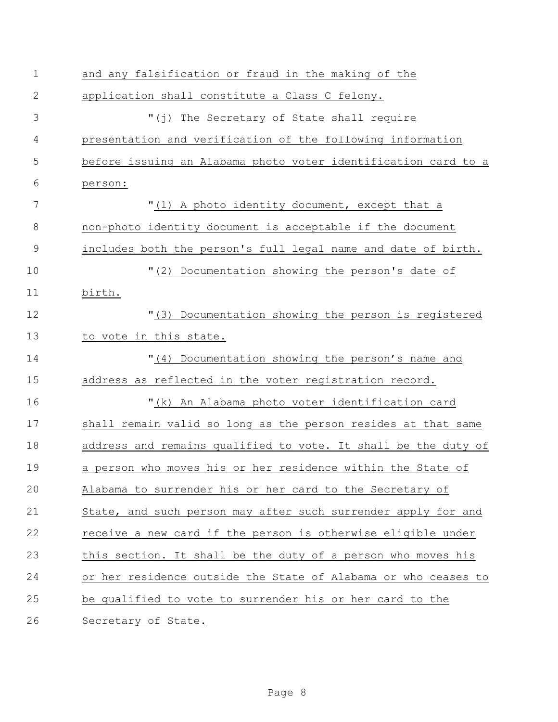| $\mathbf 1$   | and any falsification or fraud in the making of the            |
|---------------|----------------------------------------------------------------|
| $\mathbf{2}$  | application shall constitute a Class C felony.                 |
| 3             | "(j) The Secretary of State shall require                      |
| 4             | presentation and verification of the following information     |
| 5             | before issuing an Alabama photo voter identification card to a |
| 6             | person:                                                        |
| 7             | "(1) A photo identity document, except that a                  |
| 8             | non-photo identity document is acceptable if the document      |
| $\mathcal{G}$ | includes both the person's full legal name and date of birth.  |
| 10            | "(2) Documentation showing the person's date of                |
| 11            | birth.                                                         |
| 12            | "(3) Documentation showing the person is registered            |
| 13            | to vote in this state.                                         |
| 14            | "(4) Documentation showing the person's name and               |
| 15            | address as reflected in the voter registration record.         |
| 16            | "(k) An Alabama photo voter identification card                |
| 17            | shall remain valid so long as the person resides at that same  |
| 18            | address and remains qualified to vote. It shall be the duty of |
| 19            | a person who moves his or her residence within the State of    |
| 20            | Alabama to surrender his or her card to the Secretary of       |
| 21            | State, and such person may after such surrender apply for and  |
| 22            | receive a new card if the person is otherwise eligible under   |
| 23            | this section. It shall be the duty of a person who moves his   |
| 24            | or her residence outside the State of Alabama or who ceases to |
| 25            | be qualified to vote to surrender his or her card to the       |
| 26            | Secretary of State.                                            |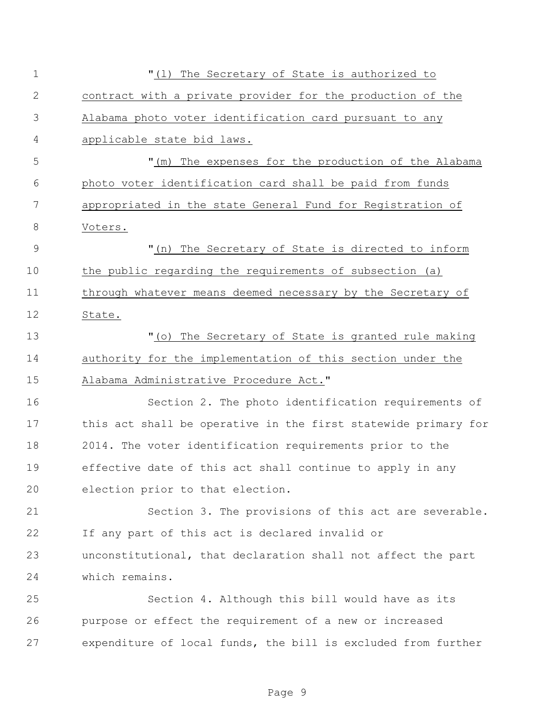| $\mathbf 1$    | "(1) The Secretary of State is authorized to                   |
|----------------|----------------------------------------------------------------|
| $\mathbf{2}$   | contract with a private provider for the production of the     |
| 3              | Alabama photo voter identification card pursuant to any        |
| 4              | applicable state bid laws.                                     |
| 5              | "(m) The expenses for the production of the Alabama            |
| 6              | photo voter identification card shall be paid from funds       |
| 7              | appropriated in the state General Fund for Registration of     |
| $8\,$          | Voters.                                                        |
| $\overline{9}$ | "(n) The Secretary of State is directed to inform              |
| 10             | the public regarding the requirements of subsection (a)        |
| 11             | through whatever means deemed necessary by the Secretary of    |
| 12             | State.                                                         |
| 13             | "(o) The Secretary of State is granted rule making             |
| 14             | authority for the implementation of this section under the     |
| 15             | Alabama Administrative Procedure Act."                         |
| 16             | Section 2. The photo identification requirements of            |
| 17             | this act shall be operative in the first statewide primary for |
| 18             | 2014. The voter identification requirements prior to the       |
| 19             | effective date of this act shall continue to apply in any      |
| 20             | election prior to that election.                               |
| 21             | Section 3. The provisions of this act are severable.           |
| 22             | If any part of this act is declared invalid or                 |
| 23             | unconstitutional, that declaration shall not affect the part   |
| 24             | which remains.                                                 |
| 25             | Section 4. Although this bill would have as its                |
| 26             | purpose or effect the requirement of a new or increased        |
| 27             | expenditure of local funds, the bill is excluded from further  |